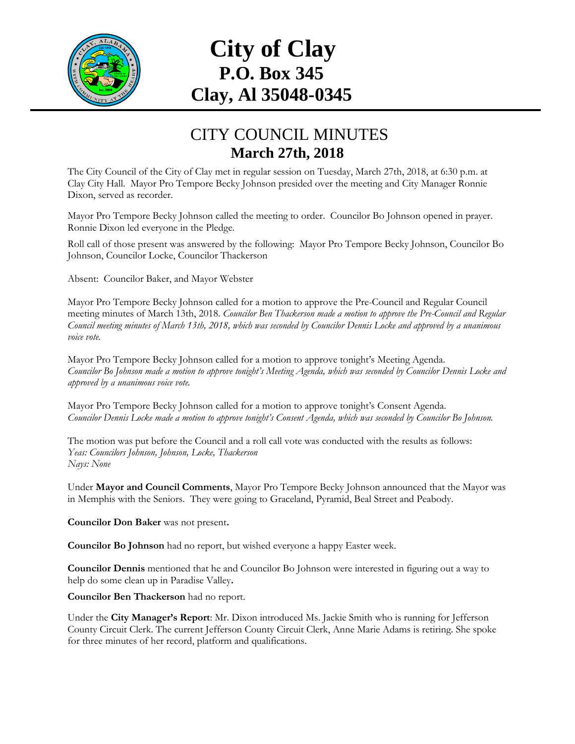

## **City of Clay P.O. Box 345 Clay, Al 35048-0345**

## CITY COUNCIL MINUTES **March 27th, 2018**

The City Council of the City of Clay met in regular session on Tuesday, March 27th, 2018, at 6:30 p.m. at Clay City Hall. Mayor Pro Tempore Becky Johnson presided over the meeting and City Manager Ronnie Dixon, served as recorder.

Mayor Pro Tempore Becky Johnson called the meeting to order. Councilor Bo Johnson opened in prayer. Ronnie Dixon led everyone in the Pledge.

Roll call of those present was answered by the following: Mayor Pro Tempore Becky Johnson, Councilor Bo Johnson, Councilor Locke, Councilor Thackerson

Absent: Councilor Baker, and Mayor Webster

Mayor Pro Tempore Becky Johnson called for a motion to approve the Pre-Council and Regular Council meeting minutes of March 13th, 2018. *Councilor Ben Thackerson made a motion to approve the Pre-Council and Regular Council meeting minutes of March 13th, 2018, which was seconded by Councilor Dennis Locke and approved by a unanimous voice vote.*

Mayor Pro Tempore Becky Johnson called for a motion to approve tonight's Meeting Agenda. *Councilor Bo Johnson made a motion to approve tonight's Meeting Agenda, which was seconded by Councilor Dennis Locke and approved by a unanimous voice vote.*

Mayor Pro Tempore Becky Johnson called for a motion to approve tonight's Consent Agenda. *Councilor Dennis Locke made a motion to approve tonight's Consent Agenda, which was seconded by Councilor Bo Johnson.*

The motion was put before the Council and a roll call vote was conducted with the results as follows: *Yeas: Councilors Johnson, Johnson, Locke, Thackerson Nays: None*

Under **Mayor and Council Comments**, Mayor Pro Tempore Becky Johnson announced that the Mayor was in Memphis with the Seniors. They were going to Graceland, Pyramid, Beal Street and Peabody.

**Councilor Don Baker** was not present**.**

**Councilor Bo Johnson** had no report, but wished everyone a happy Easter week.

**Councilor Dennis** mentioned that he and Councilor Bo Johnson were interested in figuring out a way to help do some clean up in Paradise Valley**.**

**Councilor Ben Thackerson** had no report.

Under the **City Manager's Report**: Mr. Dixon introduced Ms. Jackie Smith who is running for Jefferson County Circuit Clerk. The current Jefferson County Circuit Clerk, Anne Marie Adams is retiring. She spoke for three minutes of her record, platform and qualifications.